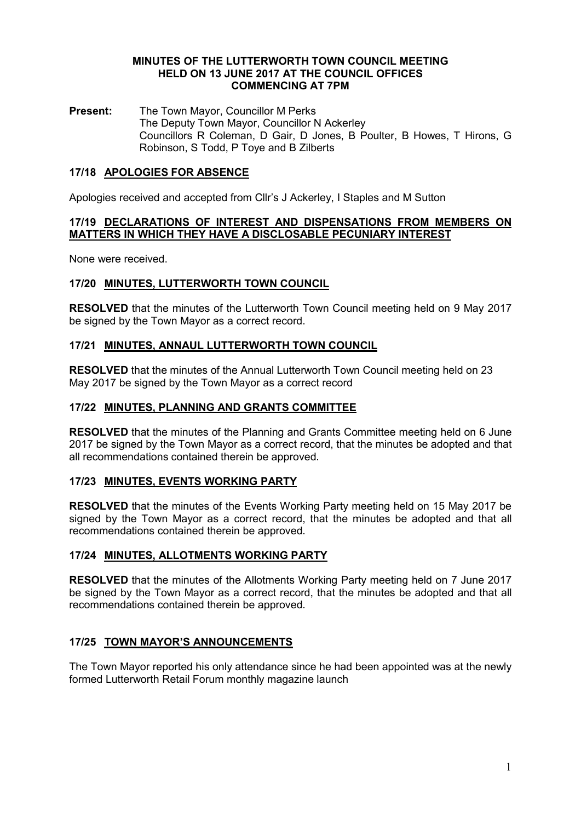#### MINUTES OF THE LUTTERWORTH TOWN COUNCIL MEETING HELD ON 13 JUNE 2017 AT THE COUNCIL OFFICES COMMENCING AT 7PM

Present: The Town Mayor, Councillor M Perks The Deputy Town Mayor, Councillor N Ackerley Councillors R Coleman, D Gair, D Jones, B Poulter, B Howes, T Hirons, G Robinson, S Todd, P Toye and B Zilberts

# 17/18 APOLOGIES FOR ABSENCE

Apologies received and accepted from Cllr's J Ackerley, I Staples and M Sutton

#### 17/19 DECLARATIONS OF INTEREST AND DISPENSATIONS FROM MEMBERS ON MATTERS IN WHICH THEY HAVE A DISCLOSABLE PECUNIARY INTEREST

None were received.

### 17/20 MINUTES, LUTTERWORTH TOWN COUNCIL

RESOLVED that the minutes of the Lutterworth Town Council meeting held on 9 May 2017 be signed by the Town Mayor as a correct record.

### 17/21 MINUTES, ANNAUL LUTTERWORTH TOWN COUNCIL

RESOLVED that the minutes of the Annual Lutterworth Town Council meeting held on 23 May 2017 be signed by the Town Mayor as a correct record

### 17/22 MINUTES, PLANNING AND GRANTS COMMITTEE

RESOLVED that the minutes of the Planning and Grants Committee meeting held on 6 June 2017 be signed by the Town Mayor as a correct record, that the minutes be adopted and that all recommendations contained therein be approved.

### 17/23 MINUTES, EVENTS WORKING PARTY

RESOLVED that the minutes of the Events Working Party meeting held on 15 May 2017 be signed by the Town Mayor as a correct record, that the minutes be adopted and that all recommendations contained therein be approved.

### 17/24 MINUTES, ALLOTMENTS WORKING PARTY

RESOLVED that the minutes of the Allotments Working Party meeting held on 7 June 2017 be signed by the Town Mayor as a correct record, that the minutes be adopted and that all recommendations contained therein be approved.

### 17/25 TOWN MAYOR'S ANNOUNCEMENTS

The Town Mayor reported his only attendance since he had been appointed was at the newly formed Lutterworth Retail Forum monthly magazine launch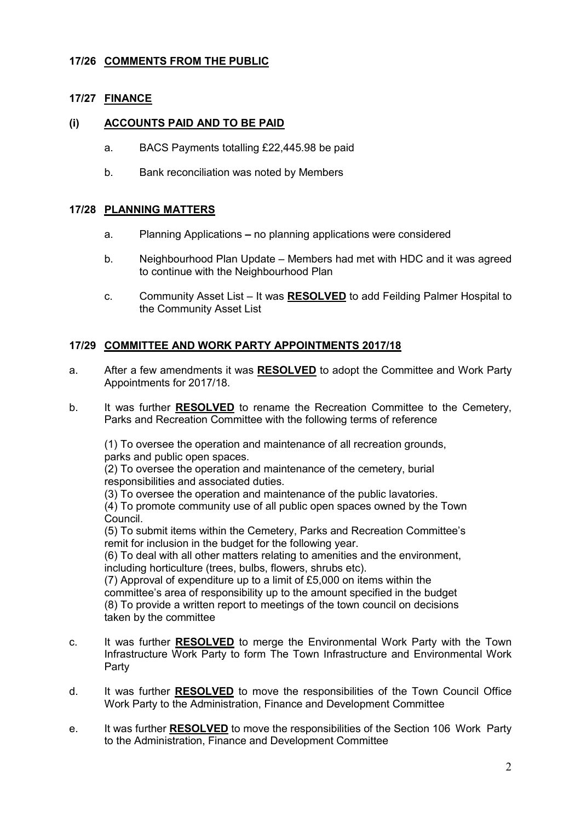# 17/26 COMMENTS FROM THE PUBLIC

# **17/27 FINANCE**

### (i) ACCOUNTS PAID AND TO BE PAID

- a. BACS Payments totalling £22,445.98 be paid
- b. Bank reconciliation was noted by Members

## 17/28 PLANNING MATTERS

- a. Planning Applications no planning applications were considered
- b. Neighbourhood Plan Update Members had met with HDC and it was agreed to continue with the Neighbourhood Plan
- c. Community Asset List It was RESOLVED to add Feilding Palmer Hospital to the Community Asset List

## 17/29 COMMITTEE AND WORK PARTY APPOINTMENTS 2017/18

- a. After a few amendments it was RESOLVED to adopt the Committee and Work Party Appointments for 2017/18.
- b. It was further **RESOLVED** to rename the Recreation Committee to the Cemetery, Parks and Recreation Committee with the following terms of reference

(1) To oversee the operation and maintenance of all recreation grounds, parks and public open spaces.

(2) To oversee the operation and maintenance of the cemetery, burial responsibilities and associated duties.

(3) To oversee the operation and maintenance of the public lavatories.

(4) To promote community use of all public open spaces owned by the Town Council.

(5) To submit items within the Cemetery, Parks and Recreation Committee's remit for inclusion in the budget for the following year.

(6) To deal with all other matters relating to amenities and the environment, including horticulture (trees, bulbs, flowers, shrubs etc).

(7) Approval of expenditure up to a limit of £5,000 on items within the committee's area of responsibility up to the amount specified in the budget (8) To provide a written report to meetings of the town council on decisions taken by the committee

- c. It was further **RESOLVED** to merge the Environmental Work Party with the Town Infrastructure Work Party to form The Town Infrastructure and Environmental Work Party
- d. It was further RESOLVED to move the responsibilities of the Town Council Office Work Party to the Administration, Finance and Development Committee
- e. It was further RESOLVED to move the responsibilities of the Section 106 Work Party to the Administration, Finance and Development Committee